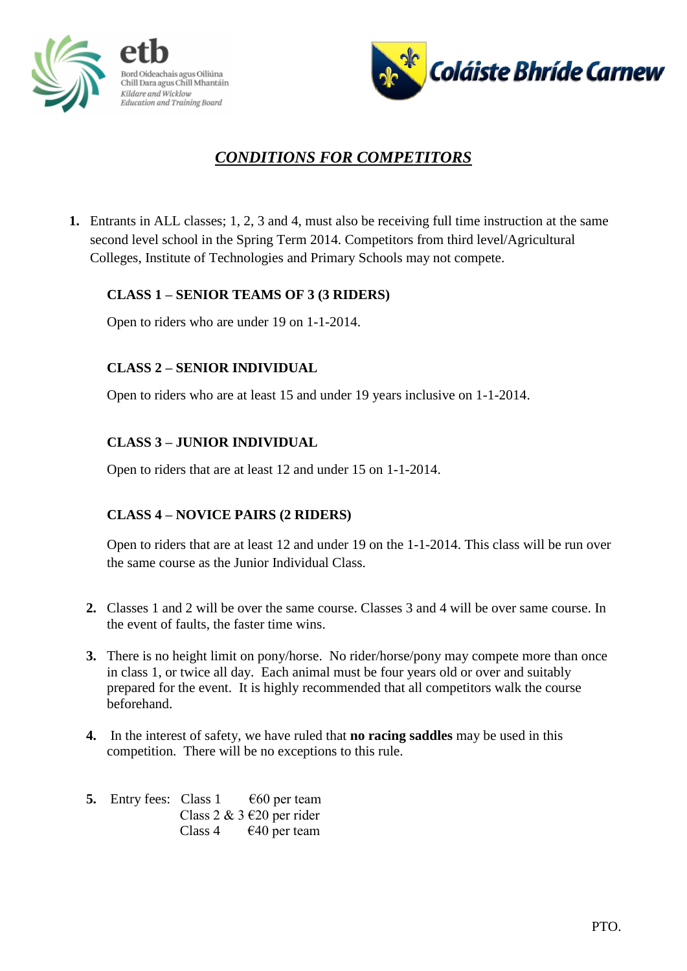



# *CONDITIONS FOR COMPETITORS*

**1.** Entrants in ALL classes; 1, 2, 3 and 4, must also be receiving full time instruction at the same second level school in the Spring Term 2014. Competitors from third level/Agricultural Colleges, Institute of Technologies and Primary Schools may not compete.

# **CLASS 1 – SENIOR TEAMS OF 3 (3 RIDERS)**

Open to riders who are under 19 on 1-1-2014.

# **CLASS 2 – SENIOR INDIVIDUAL**

Open to riders who are at least 15 and under 19 years inclusive on 1-1-2014.

# **CLASS 3 – JUNIOR INDIVIDUAL**

Open to riders that are at least 12 and under 15 on 1-1-2014.

# **CLASS 4 – NOVICE PAIRS (2 RIDERS)**

Open to riders that are at least 12 and under 19 on the 1-1-2014. This class will be run over the same course as the Junior Individual Class.

- **2.** Classes 1 and 2 will be over the same course. Classes 3 and 4 will be over same course. In the event of faults, the faster time wins.
- **3.** There is no height limit on pony/horse. No rider/horse/pony may compete more than once in class 1, or twice all day. Each animal must be four years old or over and suitably prepared for the event. It is highly recommended that all competitors walk the course beforehand.
- **4.** In the interest of safety, we have ruled that **no racing saddles** may be used in this competition. There will be no exceptions to this rule.
- **5.** Entry fees: Class  $1 \quad \text{€60}$  per team Class 2 & 3 €20 per rider Class 4  $\epsilon$  40 per team